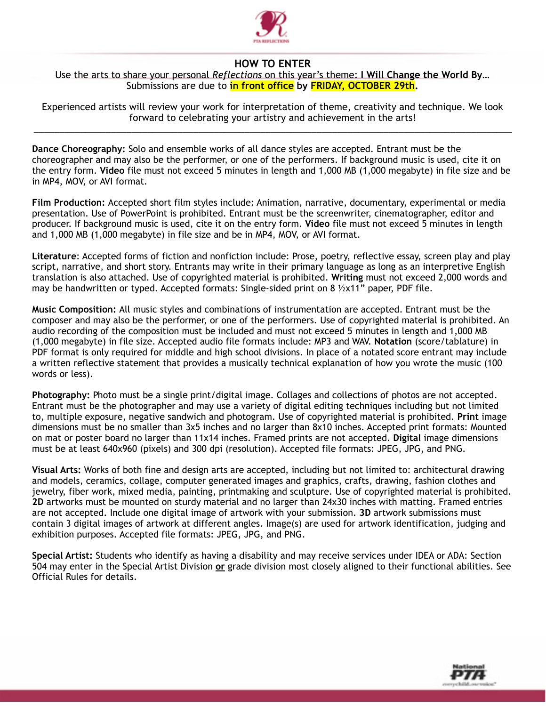

## **HOW TO ENTER**

## Use the arts to share your personal *Reflections* on this year's theme: **I Will Change the World By…** Submissions are due to **in front office by FRIDAY, OCTOBER 29th.**

Experienced artists will review your work for interpretation of theme, creativity and technique. We look forward to celebrating your artistry and achievement in the arts! \_\_\_\_\_\_\_\_\_\_\_\_\_\_\_\_\_\_\_\_\_\_\_\_\_\_\_\_\_\_\_\_\_\_\_\_\_\_\_\_\_\_\_\_\_\_\_\_\_\_\_\_\_\_\_\_\_\_\_\_\_\_\_\_\_\_\_\_\_\_\_\_\_\_\_\_\_\_\_\_\_\_\_\_\_\_\_\_\_\_\_\_\_

**Dance Choreography:** Solo and ensemble works of all dance styles are accepted. Entrant must be the choreographer and may also be the performer, or one of the performers. If background music is used, cite it on the entry form. **Video** file must not exceed 5 minutes in length and 1,000 MB (1,000 megabyte) in file size and be in MP4, MOV, or AVI format.

**Film Production:** Accepted short film styles include: Animation, narrative, documentary, experimental or media presentation. Use of PowerPoint is prohibited. Entrant must be the screenwriter, cinematographer, editor and producer. If background music is used, cite it on the entry form. **Video** file must not exceed 5 minutes in length and 1,000 MB (1,000 megabyte) in file size and be in MP4, MOV, or AVI format.

**Literature**: Accepted forms of fiction and nonfiction include: Prose, poetry, reflective essay, screen play and play script, narrative, and short story. Entrants may write in their primary language as long as an interpretive English translation is also attached. Use of copyrighted material is prohibited. **Writing** must not exceed 2,000 words and may be handwritten or typed. Accepted formats: Single-sided print on 8  $\frac{1}{2}x11"$  paper, PDF file.

**Music Composition:** All music styles and combinations of instrumentation are accepted. Entrant must be the composer and may also be the performer, or one of the performers. Use of copyrighted material is prohibited. An audio recording of the composition must be included and must not exceed 5 minutes in length and 1,000 MB (1,000 megabyte) in file size. Accepted audio file formats include: MP3 and WAV. **Notation** (score/tablature) in PDF format is only required for middle and high school divisions. In place of a notated score entrant may include a written reflective statement that provides a musically technical explanation of how you wrote the music (100 words or less).

**Photography:** Photo must be a single print/digital image. Collages and collections of photos are not accepted. Entrant must be the photographer and may use a variety of digital editing techniques including but not limited to, multiple exposure, negative sandwich and photogram. Use of copyrighted material is prohibited. **Print** image dimensions must be no smaller than 3x5 inches and no larger than 8x10 inches. Accepted print formats: Mounted on mat or poster board no larger than 11x14 inches. Framed prints are not accepted. **Digital** image dimensions must be at least 640x960 (pixels) and 300 dpi (resolution). Accepted file formats: JPEG, JPG, and PNG.

**Visual Arts:** Works of both fine and design arts are accepted, including but not limited to: architectural drawing and models, ceramics, collage, computer generated images and graphics, crafts, drawing, fashion clothes and jewelry, fiber work, mixed media, painting, printmaking and sculpture. Use of copyrighted material is prohibited. **2D** artworks must be mounted on sturdy material and no larger than 24x30 inches with matting. Framed entries are not accepted. Include one digital image of artwork with your submission. **3D** artwork submissions must contain 3 digital images of artwork at different angles. Image(s) are used for artwork identification, judging and exhibition purposes. Accepted file formats: JPEG, JPG, and PNG.

**Special Artist:** Students who identify as having a disability and may receive services under IDEA or ADA: Section 504 may enter in the Special Artist Division **or** grade division most closely aligned to their functional abilities. See Official Rules for details.

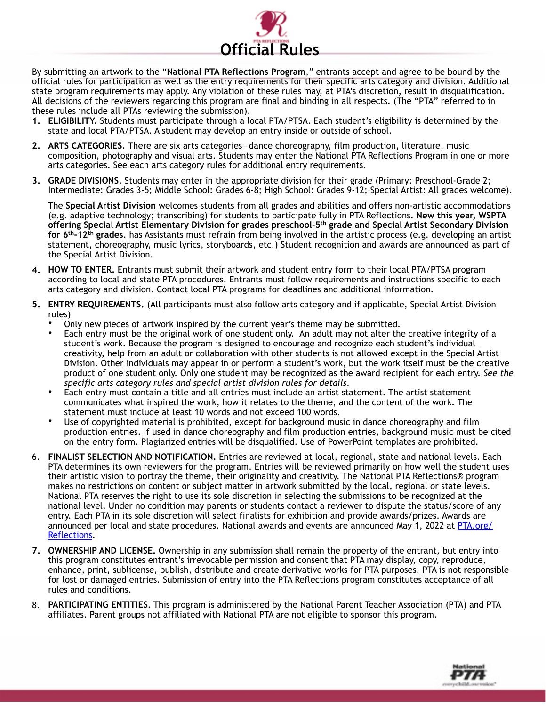

By submitting an artwork to the "**National PTA Reflections Program**," entrants accept and agree to be bound by the official rules for participation as well as the entry requirements for their specific arts category and division. Additional state program requirements may apply. Any violation of these rules may, at PTA's discretion, result in disqualification. All decisions of the reviewers regarding this program are final and binding in all respects. (The "PTA" referred to in these rules include all PTAs reviewing the submission).

- **1. ELIGIBILITY.** Students must participate through a local PTA/PTSA. Each student's eligibility is determined by the state and local PTA/PTSA. A student may develop an entry inside or outside of school.
- **2. ARTS CATEGORIES.** There are six arts categories—dance choreography, film production, literature, music composition, photography and visual arts. Students may enter the National PTA Reflections Program in one or more arts categories. See each arts category rules for additional entry requirements.
- **3. GRADE DIVISIONS.** Students may enter in the appropriate division for their grade (Primary: Preschool-Grade 2; Intermediate: Grades 3-5; Middle School: Grades 6-8; High School: Grades 9-12; Special Artist: All grades welcome).

The **Special Artist Division** welcomes students from all grades and abilities and offers non-artistic accommodations (e.g. adaptive technology; transcribing) for students to participate fully in PTA Reflections. **New this year, WSPTA offering Special Artist Elementary Division for grades preschool-5th grade and Special Artist Secondary Division for 6th-12th grades**. has Assistants must refrain from being involved in the artistic process (e.g. developing an artist statement, choreography, music lyrics, storyboards, etc.) Student recognition and awards are announced as part of the Special Artist Division.

- **4. HOW TO ENTER.** Entrants must submit their artwork and student entry form to their local PTA/PTSA program according to local and state PTA procedures. Entrants must follow requirements and instructions specific to each arts category and division. Contact local PTA programs for deadlines and additional information.
- **5. ENTRY REQUIREMENTS.** (All participants must also follow arts category and if applicable, Special Artist Division rules)
	- Only new pieces of artwork inspired by the current year's theme may be submitted.
	- Each entry must be the original work of one student only. An adult may not alter the creative integrity of a student's work. Because the program is designed to encourage and recognize each student's individual creativity, help from an adult or collaboration with other students is not allowed except in the Special Artist Division. Other individuals may appear in or perform a student's work, but the work itself must be the creative product of one student only. Only one student may be recognized as the award recipient for each entry. *See the specific arts category rules and special artist division rules for details.*
	- Each entry must contain a title and all entries must include an artist statement. The artist statement communicates what inspired the work, how it relates to the theme, and the content of the work. The statement must include at least 10 words and not exceed 100 words.
	- Use of copyrighted material is prohibited, except for background music in dance choreography and film production entries. If used in dance choreography and film production entries, background music must be cited on the entry form. Plagiarized entries will be disqualified. Use of PowerPoint templates are prohibited.
- 6. **FINALIST SELECTION AND NOTIFICATION.** Entries are reviewed at local, regional, state and national levels. Each PTA determines its own reviewers for the program. Entries will be reviewed primarily on how well the student uses their artistic vision to portray the theme, their originality and creativity. The National PTA Reflections® program makes no restrictions on content or subject matter in artwork submitted by the local, regional or state levels. National PTA reserves the right to use its sole discretion in selecting the submissions to be recognized at the national level. Under no condition may parents or students contact a reviewer to dispute the status/score of any entry. Each PTA in its sole discretion will select finalists for exhibition and provide awards/prizes. Awards are [announced per local and state procedures. National awards and events are announced May 1, 2022 at PTA.org/](https://www.pta.org/home/programs/reflections) Reflections.
- **7. OWNERSHIP AND LICENSE.** Ownership in any submission shall remain the property of the entrant, but entry into this program constitutes entrant's irrevocable permission and consent that PTA may display, copy, reproduce, enhance, print, sublicense, publish, distribute and create derivative works for PTA purposes. PTA is not responsible for lost or damaged entries. Submission of entry into the PTA Reflections program constitutes acceptance of all rules and conditions.
- 8. **PARTICIPATING ENTITIES**. This program is administered by the National Parent Teacher Association (PTA) and PTA affiliates. Parent groups not affiliated with National PTA are not eligible to sponsor this program.